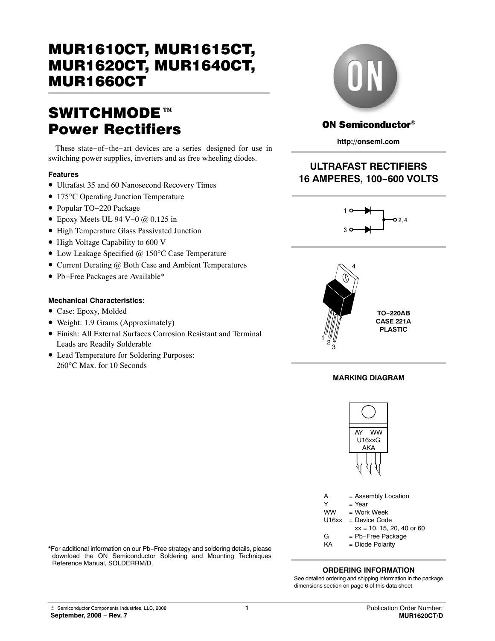# SWITCHMODE<sup>™</sup> Power Rectifiers

These state−of−the−art devices are a series designed for use in switching power supplies, inverters and as free wheeling diodes.

### **Features**

- Ultrafast 35 and 60 Nanosecond Recovery Times
- 175°C Operating Junction Temperature
- Popular TO−220 Package
- Epoxy Meets UL 94 V−0 @ 0.125 in
- High Temperature Glass Passivated Junction
- High Voltage Capability to 600 V
- Low Leakage Specified @ 150°C Case Temperature
- Current Derating @ Both Case and Ambient Temperatures
- Pb−Free Packages are Available\*

### **Mechanical Characteristics:**

- Case: Epoxy, Molded
- Weight: 1.9 Grams (Approximately)
- Finish: All External Surfaces Corrosion Resistant and Terminal Leads are Readily Solderable
- Lead Temperature for Soldering Purposes: 260°C Max. for 10 Seconds



## **ON Semiconductor®**

**http://onsemi.com**

# **ULTRAFAST RECTIFIERS 16 AMPERES, 100−600 VOLTS**





### **MARKING DIAGRAM**



- A = Assembly Location  $Y = Year$ WW = Work Week U16xx = Device Code  $xx = 10, 15, 20, 40$  or 60
- G = Pb−Free Package
- KA = Diode Polarity

\*For additional information on our Pb−Free strategy and soldering details, please download the ON Semiconductor Soldering and Mounting Techniques Reference Manual, SOLDERRM/D.

### **ORDERING INFORMATION**

See detailed ordering and shipping information in the package dimensions section on page [6 of this data sheet.](#page-5-0)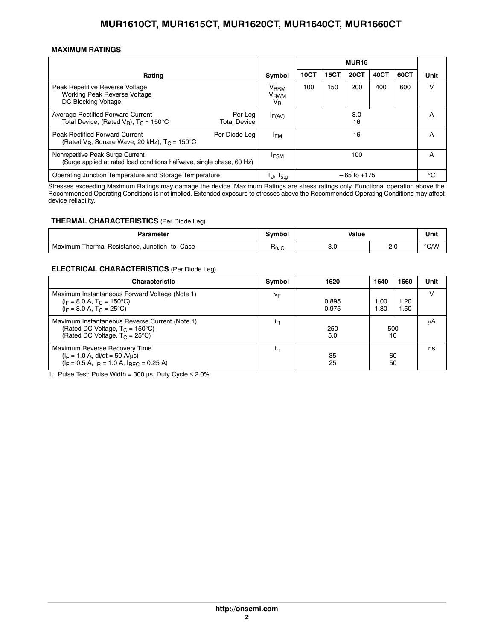### **MAXIMUM RATINGS**

|                                                                                                                      |                                |                                                          | <b>MUR16</b> |             |                 |      |      |             |
|----------------------------------------------------------------------------------------------------------------------|--------------------------------|----------------------------------------------------------|--------------|-------------|-----------------|------|------|-------------|
| Rating                                                                                                               |                                | Symbol                                                   | <b>10CT</b>  | <b>15CT</b> | <b>20CT</b>     | 40CT | 60CT | Unit        |
| Peak Repetitive Reverse Voltage<br>Working Peak Reverse Voltage<br>DC Blocking Voltage                               |                                | V <sub>RRM</sub><br>V <sub>RWM</sub><br>$V_{\mathsf{R}}$ | 100          | 150         | 200             | 400  | 600  | v           |
| Average Rectified Forward Current<br>Total Device, (Rated $V_B$ ), $T_C = 150^{\circ}C$                              | Per Leg<br><b>Total Device</b> | $I_{F(AV)}$                                              | 8.0<br>16    |             | A               |      |      |             |
| <b>Peak Rectified Forward Current</b><br>Per Diode Lea<br>(Rated $V_B$ , Square Wave, 20 kHz), $T_C = 150^{\circ}$ C |                                | <sup>I</sup> FM                                          | 16           |             |                 | A    |      |             |
| Nonrepetitive Peak Surge Current<br>(Surge applied at rated load conditions halfwave, single phase, 60 Hz)           |                                | <b>IFSM</b>                                              |              |             | 100             |      |      | A           |
| Operating Junction Temperature and Storage Temperature                                                               |                                | $T_{J}$ , $T_{\text{stg}}$                               |              |             | $-65$ to $+175$ |      |      | $^{\circ}C$ |

Stresses exceeding Maximum Ratings may damage the device. Maximum Ratings are stress ratings only. Functional operation above the Recommended Operating Conditions is not implied. Extended exposure to stresses above the Recommended Operating Conditions may affect device reliability.

#### **THERMAL CHARACTERISTICS** (Per Diode Leg)

| Parameter                                            | Svmbol | Value |     | Unit          |
|------------------------------------------------------|--------|-------|-----|---------------|
| Thermal Resistance.<br>. Junction–to–Case<br>Maximum | ∺⊕კი   | 3.0   | c.c | $\degree$ C/W |

#### **ELECTRICAL CHARACTERISTICS** (Per Diode Leg)

| <b>Characteristic</b>                                                                                                                   | Symbol         | 1620           | 1640       | 1660         | Unit |
|-----------------------------------------------------------------------------------------------------------------------------------------|----------------|----------------|------------|--------------|------|
| Maximum Instantaneous Forward Voltage (Note 1)<br>$(i_F = 8.0 A, T_C = 150^{\circ}C)$<br>$(i_F = 8.0 A, T_C = 25^{\circ}C)$             | VF             | 0.895<br>0.975 | .00<br>.30 | 1.20<br>1.50 |      |
| Maximum Instantaneous Reverse Current (Note 1)<br>(Rated DC Voltage, $T_C = 150^{\circ}C$ )<br>(Rated DC Voltage, $T_C = 25^{\circ}C$ ) | <sup>I</sup> R | 250<br>5.0     | 500<br>10  |              | μA   |
| Maximum Reverse Recovery Time<br>$(I_F = 1.0 A, di/dt = 50 A/µs)$<br>$(I_F = 0.5 A, I_B = 1.0 A, I_{BFC} = 0.25 A)$                     | ւrr            | 35<br>25       | 60<br>50   |              | ns   |

1. Pulse Test: Pulse Width = 300  $\mu$ s, Duty Cycle  $\leq 2.0\%$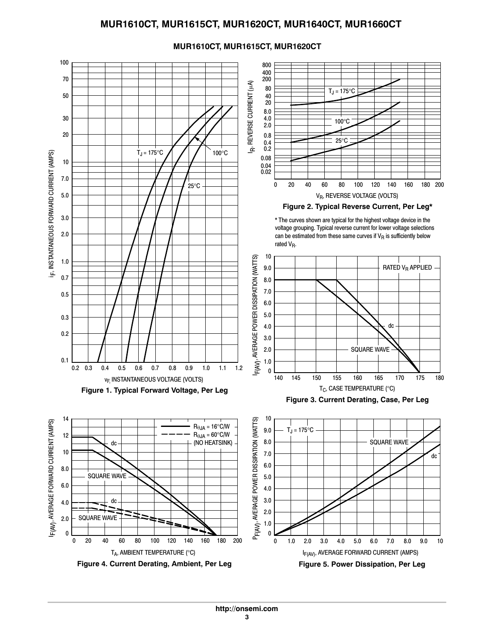

## **MUR1610CT, MUR1615CT, MUR1620CT**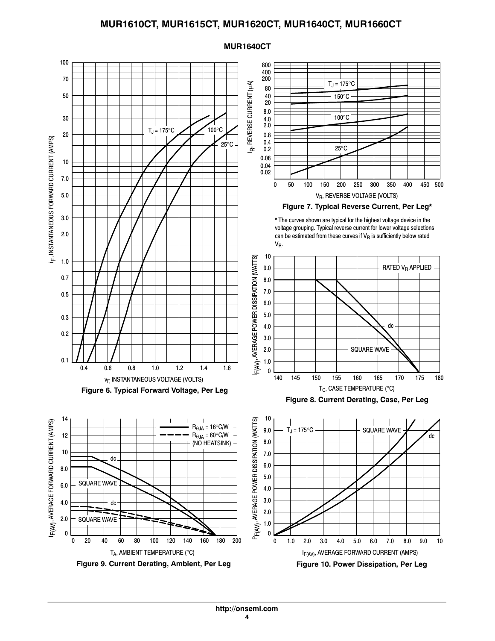

#### **MUR1640CT**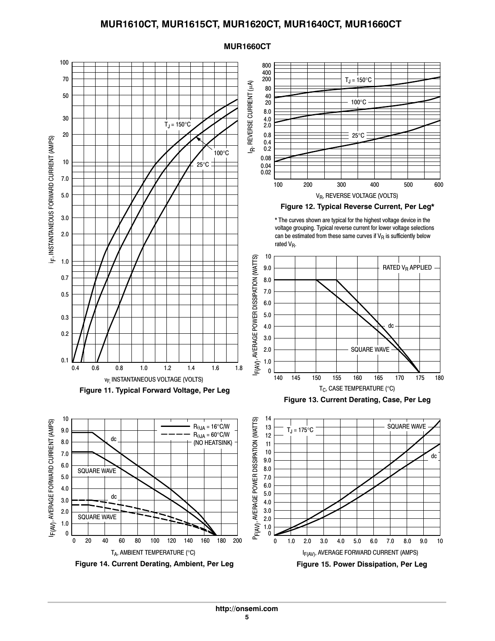

### **MUR1660CT**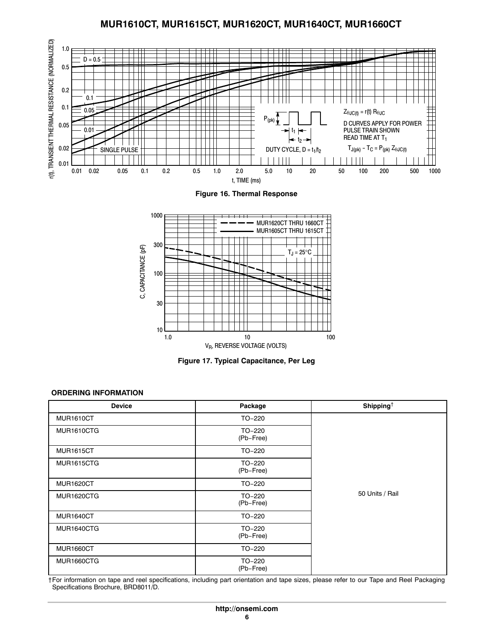<span id="page-5-0"></span>





**Figure 17. Typical Capacitance, Per Leg**

### **ORDERING INFORMATION**

| <b>Device</b>     | Package             | Shipping <sup>†</sup> |
|-------------------|---------------------|-----------------------|
| <b>MUR1610CT</b>  | TO-220              |                       |
| MUR1610CTG        | TO-220<br>(Pb-Free) |                       |
| <b>MUR1615CT</b>  | TO-220              |                       |
| <b>MUR1615CTG</b> | TO-220<br>(Pb-Free) |                       |
| <b>MUR1620CT</b>  | TO-220              |                       |
| <b>MUR1620CTG</b> | TO-220<br>(Pb-Free) | 50 Units / Rail       |
| <b>MUR1640CT</b>  | TO-220              |                       |
| MUR1640CTG        | TO-220<br>(Pb-Free) |                       |
| <b>MUR1660CT</b>  | TO-220              |                       |
| MUR1660CTG        | TO-220<br>(Pb-Free) |                       |

†For information on tape and reel specifications, including part orientation and tape sizes, please refer to our Tape and Reel Packaging Specifications Brochure, BRD8011/D.